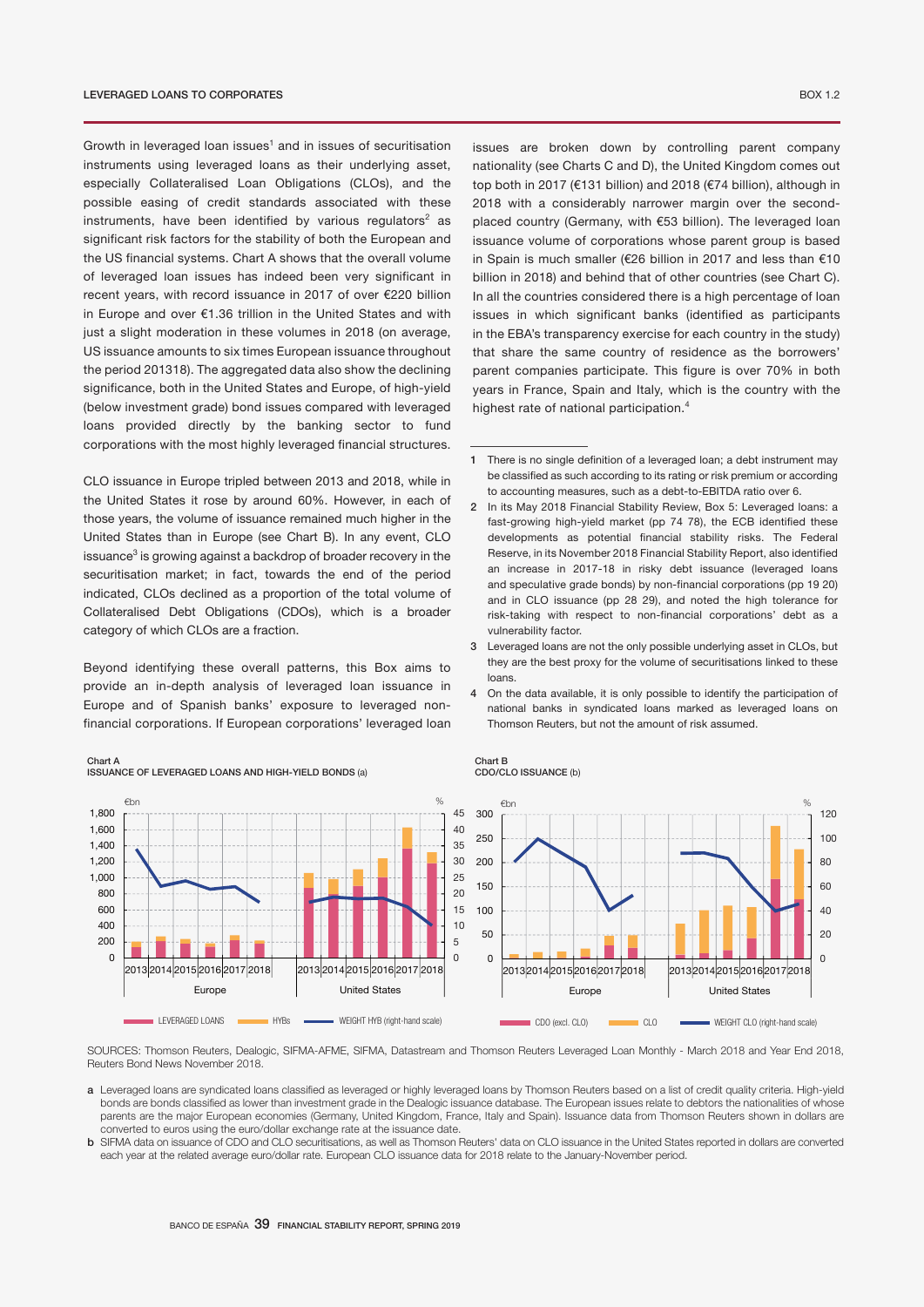Growth in leveraged loan issues<sup>1</sup> and in issues of securitisation instruments using leveraged loans as their underlying asset, especially Collateralised Loan Obligations (CLOs), and the possible easing of credit standards associated with these instruments, have been identified by various regulators<sup>2</sup> as significant risk factors for the stability of both the European and the US financial systems. Chart A shows that the overall volume of leveraged loan issues has indeed been very significant in recent years, with record issuance in 2017 of over €220 billion in Europe and over €1.36 trillion in the United States and with just a slight moderation in these volumes in 2018 (on average, US issuance amounts to six times European issuance throughout the period 201318). The aggregated data also show the declining significance, both in the United States and Europe, of high-yield (below investment grade) bond issues compared with leveraged loans provided directly by the banking sector to fund corporations with the most highly leveraged financial structures.

CLO issuance in Europe tripled between 2013 and 2018, while in the United States it rose by around 60%. However, in each of those years, the volume of issuance remained much higher in the United States than in Europe (see Chart B). In any event, CLO issuance<sup>3</sup> is growing against a backdrop of broader recovery in the securitisation market; in fact, towards the end of the period indicated, CLOs declined as a proportion of the total volume of Collateralised Debt Obligations (CDOs), which is a broader category of which CLOs are a fraction.

Beyond identifying these overall patterns, this Box aims to provide an in-depth analysis of leveraged loan issuance in Europe and of Spanish banks' exposure to leveraged nonfinancial corporations. If European corporations' leveraged loan

Chart A

0 200 400 600 800 1,000 1,200 1,400 1,600 1,800 2013 2014 2015 2016 2017 2018 2013 2014 2015 2016 2017 2018 Europe United States LEVERAGED LOANS HE HYBs WEIGHT HYB (right-hand scale) ISSUANCE OF LEVERAGED LOANS AND HIGH-YIELD BONDS (a)  $\epsilon$ bn  $\%$  Chart B CDO/CLO ISSUANCE (b)



SOURCES: Thomson Reuters, Dealogic, SIFMA-AFME, SIFMA, Datastream and Thomson Reuters Leveraged Loan Monthly - March 2018 and Year End 2018, Reuters Bond News November 2018.

- a Leveraged loans are syndicated loans classified as leveraged or highly leveraged loans by Thomson Reuters based on a list of credit quality criteria. High-yield bonds are bonds classified as lower than investment grade in the Dealogic issuance database. The European issues relate to debtors the nationalities of whose parents are the major European economies (Germany, United Kingdom, France, Italy and Spain). Issuance data from Thomson Reuters shown in dollars are converted to euros using the euro/dollar exchange rate at the issuance date.
- b SIFMA data on issuance of CDO and CLO securitisations, as well as Thomson Reuters' data on CLO issuance in the United States reported in dollars are converted each year at the related average euro/dollar rate. European CLO issuance data for 2018 relate to the January-November period.

issues are broken down by controlling parent company nationality (see Charts C and D), the United Kingdom comes out top both in 2017 (€131 billion) and 2018 (€74 billion), although in 2018 with a considerably narrower margin over the secondplaced country (Germany, with €53 billion). The leveraged loan issuance volume of corporations whose parent group is based in Spain is much smaller (€26 billion in 2017 and less than €10 billion in 2018) and behind that of other countries (see Chart C). In all the countries considered there is a high percentage of loan issues in which significant banks (identified as participants in the EBA's transparency exercise for each country in the study) that share the same country of residence as the borrowers' parent companies participate. This figure is over 70% in both years in France, Spain and Italy, which is the country with the highest rate of national participation.<sup>4</sup>

- 2 In its May 2018 Financial Stability Review, Box 5: Leveraged loans: a fast-growing high-yield market (pp 74 78), the ECB identified these developments as potential financial stability risks. The Federal Reserve, in its November 2018 Financial Stability Report, also identified an increase in 2017-18 in risky debt issuance (leveraged loans and speculative grade bonds) by non-financial corporations (pp 19 20) and in CLO issuance (pp 28 29), and noted the high tolerance for risk-taking with respect to non-financial corporations' debt as a vulnerability factor.
- 3 Leveraged loans are not the only possible underlying asset in CLOs, but they are the best proxy for the volume of securitisations linked to these loans.
- 4 On the data available, it is only possible to identify the participation of national banks in syndicated loans marked as leveraged loans on Thomson Reuters, but not the amount of risk assumed.

<sup>1</sup> There is no single definition of a leveraged loan; a debt instrument may be classified as such according to its rating or risk premium or according to accounting measures, such as a debt-to-EBITDA ratio over 6.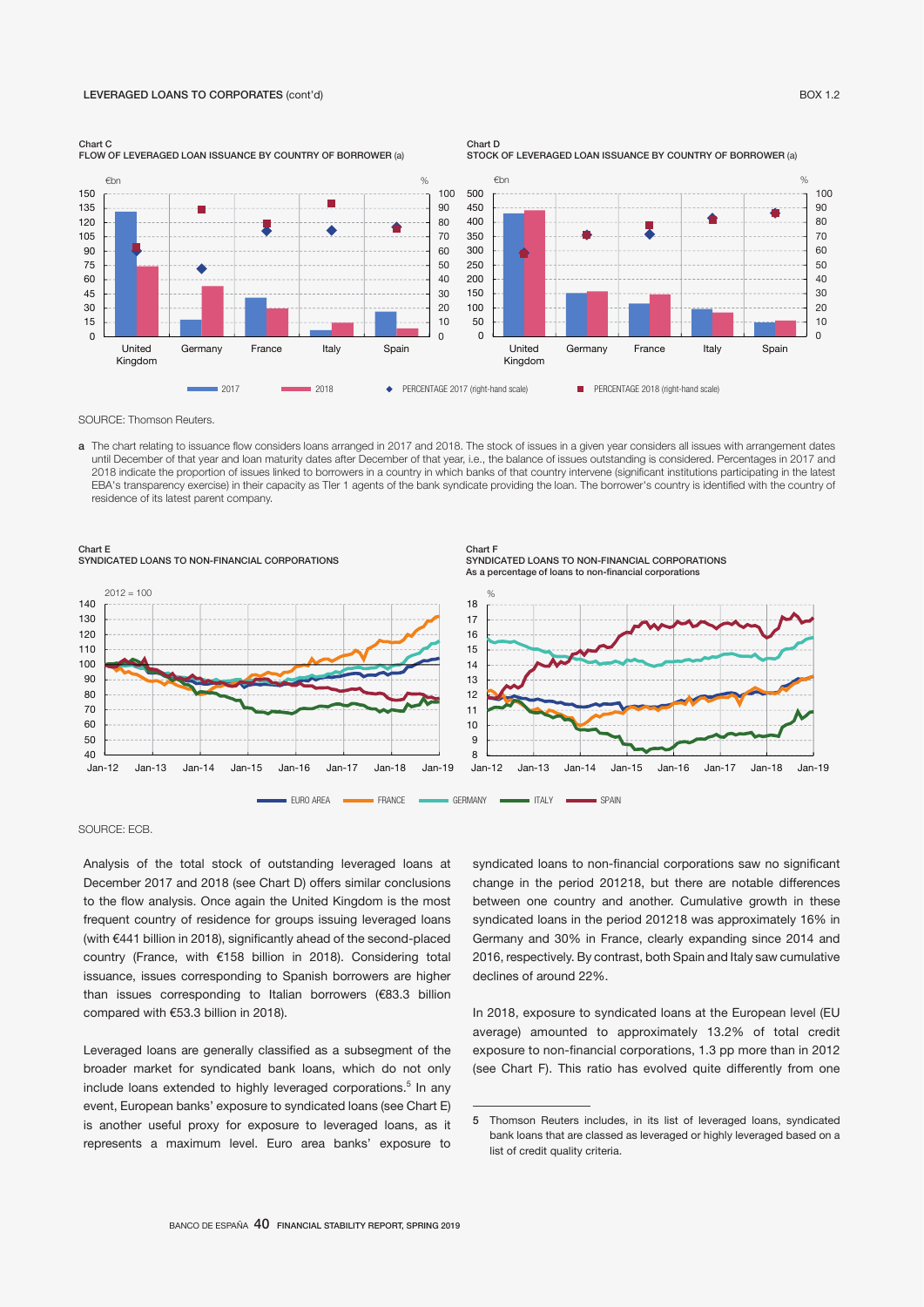## LEVERAGED LOANS TO CORPORATES (cont'd) and the context of the context of the context of the context of the context of the context of the context of the context of the context of the context of the context of the context of



SOURCE: Thomson Reuters.

a The chart relating to issuance flow considers loans arranged in 2017 and 2018. The stock of issues in a given year considers all issues with arrangement dates until December of that year and loan maturity dates after December of that year, i.e., the balance of issues outstanding is considered. Percentages in 2017 and 2018 indicate the proportion of issues linked to borrowers in a country in which banks of that country intervene (significant institutions participating in the latest EBA's transparency exercise) in their capacity as TIer 1 agents of the bank syndicate providing the loan. The borrower's country is identified with the country of residence of its latest parent company.



SOURCE: ECB.

Analysis of the total stock of outstanding leveraged loans at December 2017 and 2018 (see Chart D) offers similar conclusions to the flow analysis. Once again the United Kingdom is the most frequent country of residence for groups issuing leveraged loans (with €441 billion in 2018), significantly ahead of the second-placed country (France, with €158 billion in 2018). Considering total issuance, issues corresponding to Spanish borrowers are higher than issues corresponding to Italian borrowers (€83.3 billion compared with €53.3 billion in 2018).

Leveraged loans are generally classified as a subsegment of the broader market for syndicated bank loans, which do not only include loans extended to highly leveraged corporations.<sup>5</sup> In any event, European banks' exposure to syndicated loans (see Chart E) is another useful proxy for exposure to leveraged loans, as it represents a maximum level. Euro area banks' exposure to

syndicated loans to non-financial corporations saw no significant change in the period 201218, but there are notable differences between one country and another. Cumulative growth in these syndicated loans in the period 201218 was approximately 16% in Germany and 30% in France, clearly expanding since 2014 and 2016, respectively. By contrast, both Spain and Italy saw cumulative declines of around 22%.

In 2018, exposure to syndicated loans at the European level (EU average) amounted to approximately 13.2% of total credit exposure to non-financial corporations, 1.3 pp more than in 2012 (see Chart F). This ratio has evolved quite differently from one

<sup>5</sup> Thomson Reuters includes, in its list of leveraged loans, syndicated bank loans that are classed as leveraged or highly leveraged based on a list of credit quality criteria.